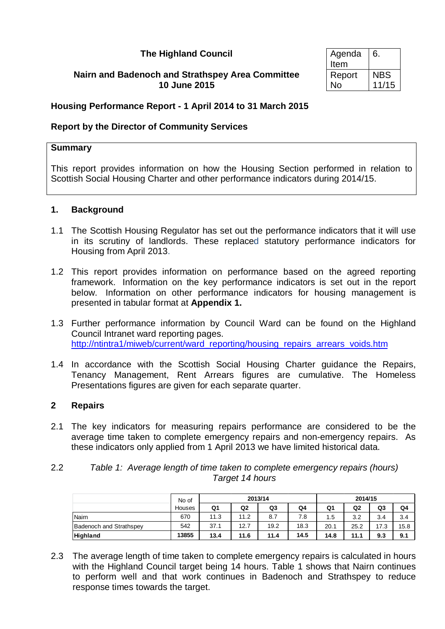## **The Highland Council**

### **Nairn and Badenoch and Strathspey Area Committee 10 June 2015**

| Agenda | 6.         |
|--------|------------|
| Item   |            |
| Report | <b>NBS</b> |
| No     | 11/15      |

## **Housing Performance Report - 1 April 2014 to 31 March 2015**

## **Report by the Director of Community Services**

#### **Summary**

This report provides information on how the Housing Section performed in relation to Scottish Social Housing Charter and other performance indicators during 2014/15.

#### **1. Background**

- 1.1 The Scottish Housing Regulator has set out the performance indicators that it will use in its scrutiny of landlords. These replaced statutory performance indicators for Housing from April 2013.
- 1.2 This report provides information on performance based on the agreed reporting framework. Information on the key performance indicators is set out in the report below. Information on other performance indicators for housing management is presented in tabular format at **Appendix 1.**
- 1.3 Further performance information by Council Ward can be found on the Highland Council Intranet ward reporting pages. [http://ntintra1/miweb/current/ward\\_reporting/housing\\_repairs\\_arrears\\_voids.htm](http://ntintra1/miweb/current/ward_reporting/housing_repairs_arrears_voids.htm)
- 1.4 In accordance with the Scottish Social Housing Charter guidance the Repairs, Tenancy Management, Rent Arrears figures are cumulative. The Homeless Presentations figures are given for each separate quarter.

#### **2 Repairs**

2.1 The key indicators for measuring repairs performance are considered to be the average time taken to complete emergency repairs and non-emergency repairs. As these indicators only applied from 1 April 2013 we have limited historical data.

| 2.2 | Table 1: Average length of time taken to complete emergency repairs (hours) |
|-----|-----------------------------------------------------------------------------|
|     | Target 14 hours                                                             |

|                                | No of  |      | 2013/14        | 2014/15 |      |      |      |      |      |
|--------------------------------|--------|------|----------------|---------|------|------|------|------|------|
|                                | Houses | Q1   | Q <sub>2</sub> | Q3      | Q4   | Q1   | Q2   | Q3   | Q4   |
| Nairn                          | 670    | 11.3 | 11.2           | 8.7     | 7.8  | 1.5  | 3.2  | 3.4  | 3.4  |
| <b>Badenoch and Strathspey</b> | 542    | 37.1 | 12.7           | 19.2    | 18.3 | 20.1 | 25.2 | 17.3 | 15.8 |
| Highland                       | 13855  | 13.4 | 11.6           | 11.4    | 14.5 | 14.8 | 11.1 | 9.3  | 9.1  |

2.3 The average length of time taken to complete emergency repairs is calculated in hours with the Highland Council target being 14 hours. Table 1 shows that Nairn continues to perform well and that work continues in Badenoch and Strathspey to reduce response times towards the target.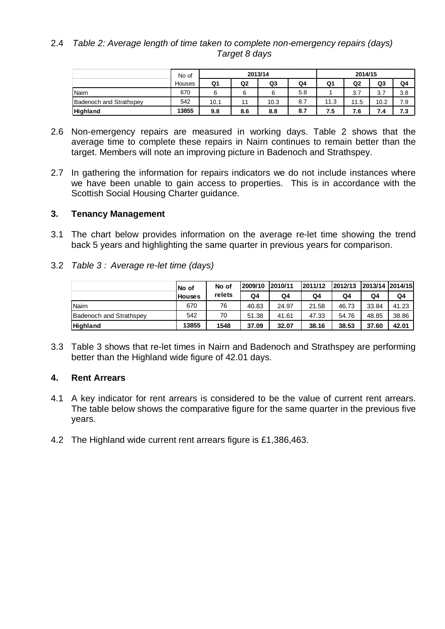### 2.4 *Table 2: Average length of time taken to complete non-emergency repairs (days) Target 8 days*

|                                | No of  |      | 2013/14        | 2014/15 |     |      |      |      |     |
|--------------------------------|--------|------|----------------|---------|-----|------|------|------|-----|
|                                | Houses | Q1   | Q <sub>2</sub> | Q3      | Q4  | Q1   | Q2   | Q3   | Q4  |
| Naim                           | 670    | 6    | 6              | 6       | 5.8 |      | 3.7  | 3.7  | 3.8 |
| <b>Badenoch and Strathspey</b> | 542    | 10.1 |                | 10.3    | 8.7 | 11.3 | 11.5 | 10.2 | 7.9 |
| Highland                       | 13855  | 9.8  | 8.6            | 8.8     | 8.7 | 7.5  | 7.6  | 7.4  | 7.3 |

- 2.6 Non-emergency repairs are measured in working days. Table 2 shows that the average time to complete these repairs in Nairn continues to remain better than the target. Members will note an improving picture in Badenoch and Strathspey.
- 2.7 In gathering the information for repairs indicators we do not include instances where we have been unable to gain access to properties. This is in accordance with the Scottish Social Housing Charter guidance.

## **3. Tenancy Management**

- 3.1 The chart below provides information on the average re-let time showing the trend back 5 years and highlighting the same quarter in previous years for comparison.
- 3.2 *Table 3 : Average re-let time (days)*

|                         | INo of        | No of  | 2009/10 | 2010/11 | 2011/12 | 2012/13 | 2013/14 2014/15 |       |
|-------------------------|---------------|--------|---------|---------|---------|---------|-----------------|-------|
|                         | <b>Houses</b> | relets | Q4      | Q4      | Q4      | Q4      | Q4              | Q4    |
| <b>INairn</b>           | 670           | 76     | 40.83   | 24.97   | 21.58   | 46.73   | 33.84           | 41.23 |
| Badenoch and Strathspev | 542           | 70     | 51.38   | 41.61   | 47.33   | 54.76   | 48.85           | 38.86 |
| <b>Highland</b>         | 13855         | 1548   | 37.09   | 32.07   | 38.16   | 38.53   | 37.60           | 42.01 |

3.3 Table 3 shows that re-let times in Nairn and Badenoch and Strathspey are performing better than the Highland wide figure of 42.01 days.

# **4. Rent Arrears**

- 4.1 A key indicator for rent arrears is considered to be the value of current rent arrears. The table below shows the comparative figure for the same quarter in the previous five years.
- 4.2 The Highland wide current rent arrears figure is £1,386,463.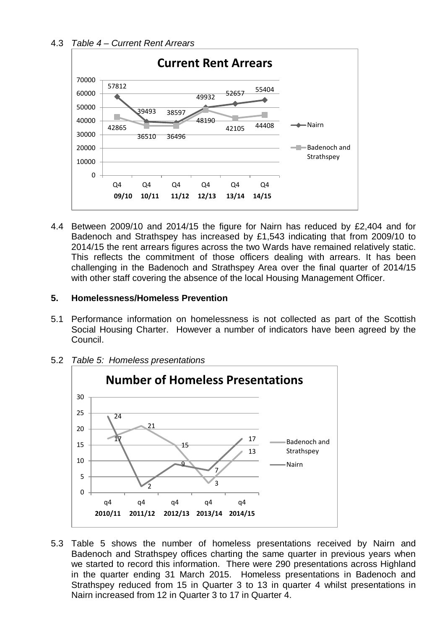# 4.3 *Table 4 – Current Rent Arrears*



4.4 Between 2009/10 and 2014/15 the figure for Nairn has reduced by £2,404 and for Badenoch and Strathspey has increased by £1,543 indicating that from 2009/10 to 2014/15 the rent arrears figures across the two Wards have remained relatively static. This reflects the commitment of those officers dealing with arrears. It has been challenging in the Badenoch and Strathspey Area over the final quarter of 2014/15 with other staff covering the absence of the local Housing Management Officer.

# **5. Homelessness/Homeless Prevention**

5.1 Performance information on homelessness is not collected as part of the Scottish Social Housing Charter. However a number of indicators have been agreed by the Council.



5.2 *Table 5: Homeless presentations*

5.3 Table 5 shows the number of homeless presentations received by Nairn and Badenoch and Strathspey offices charting the same quarter in previous years when we started to record this information. There were 290 presentations across Highland in the quarter ending 31 March 2015. Homeless presentations in Badenoch and Strathspey reduced from 15 in Quarter 3 to 13 in quarter 4 whilst presentations in Nairn increased from 12 in Quarter 3 to 17 in Quarter 4.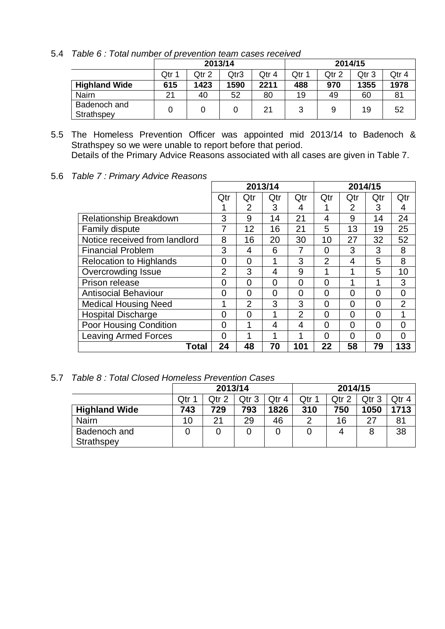|  |  |  |  |  | 5.4 Table 6: Total number of prevention team cases received |  |  |  |
|--|--|--|--|--|-------------------------------------------------------------|--|--|--|
|--|--|--|--|--|-------------------------------------------------------------|--|--|--|

|                            |       |       | 2013/14 |       | 2014/15 |       |       |       |  |  |
|----------------------------|-------|-------|---------|-------|---------|-------|-------|-------|--|--|
|                            | Qtr 1 | Qtr 2 | Qtr3    | Qtr 4 | Qtr ·   | Qtr 2 | Qtr 3 | Qtr 4 |  |  |
| <b>Highland Wide</b>       | 615   | 1423  | 1590    | 2211  | 488     | 970   | 1355  | 1978  |  |  |
| Nairn                      | 21    | 40    | 52      | 80    | 19      | 49    | 60    |       |  |  |
| Badenoch and<br>Strathspey |       |       |         | 21    | 3       |       | 19    | 52    |  |  |

5.5 The Homeless Prevention Officer was appointed mid 2013/14 to Badenoch & Strathspey so we were unable to report before that period. Details of the Primary Advice Reasons associated with all cases are given in Table 7.

5.6 *Table 7 : Primary Advice Reasons*

|                                |                | 2013/14        |          |     | 2014/15        |          |          |                |
|--------------------------------|----------------|----------------|----------|-----|----------------|----------|----------|----------------|
|                                | Qtr            | Qtr            | Qtr      | Qtr | Qtr            | Qtr      | Qtr      | Qtr            |
|                                |                | 2              | 3        | 4   |                | 2        | 3        | 4              |
| <b>Relationship Breakdown</b>  | 3              | 9              | 14       | 21  | 4              | 9        | 14       | 24             |
| <b>Family dispute</b>          | 7              | 12             | 16       | 21  | 5              | 13       | 19       | 25             |
| Notice received from landlord  | 8              | 16             | 20       | 30  | 10             | 27       | 32       | 52             |
| <b>Financial Problem</b>       | 3              | 4              | 6        | 7   | $\Omega$       | 3        | 3        | 8              |
| <b>Relocation to Highlands</b> | 0              | $\overline{0}$ | 1        | 3   | $\overline{2}$ | 4        | 5        | 8              |
| <b>Overcrowding Issue</b>      | $\overline{2}$ | 3              | 4        | 9   |                | 1        | 5        | 10             |
| Prison release                 | 0              | $\overline{0}$ | $\Omega$ | 0   | $\Omega$       | 1        | 1        | 3              |
| <b>Antisocial Behaviour</b>    | 0              | $\overline{0}$ | $\Omega$ | 0   | 0              | 0        | 0        | $\overline{0}$ |
| <b>Medical Housing Need</b>    | 1              | $\overline{2}$ | 3        | 3   | $\Omega$       | $\Omega$ | $\Omega$ | $\overline{2}$ |
| <b>Hospital Discharge</b>      | 0              | $\Omega$       | 1        | 2   | $\Omega$       | $\Omega$ | $\Omega$ | 1              |
| Poor Housing Condition         | 0              | 1              | 4        | 4   | 0              | 0        | $\Omega$ | $\overline{0}$ |
| <b>Leaving Armed Forces</b>    | 0              |                |          |     | $\Omega$       | $\Omega$ | 0        | $\Omega$       |
| Total                          | 24             | 48             | 70       | 101 | 22             | 58       | 79       | 133            |

5.7 *Table 8 : Total Closed Homeless Prevention Cases*

|                      |       | 2013/14          |       |       | 2014/15 |       |       |      |  |
|----------------------|-------|------------------|-------|-------|---------|-------|-------|------|--|
|                      | Qtr 1 | Qtr <sub>2</sub> | Qtr 3 | Qtr 4 | Qtr 1   | Qtr 2 | Qtr 3 |      |  |
| <b>Highland Wide</b> | 743   | 729              | 793   | 1826  | 310     | 750   | 1050  | 1713 |  |
| <b>Nairn</b>         | 10    | 21               | 29    | 46    | ⌒       | 16    | 27    |      |  |
| Badenoch and         |       |                  |       |       |         |       |       | 38   |  |
| Strathspey           |       |                  |       |       |         |       |       |      |  |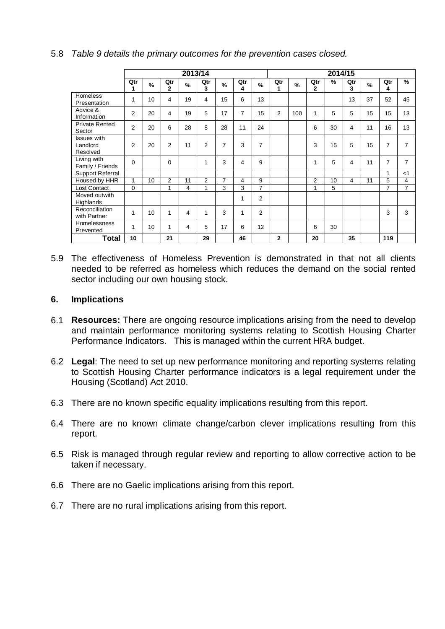|                                            |          |      |                       | 2013/14       |                |               |          |                | 2014/15      |               |                |    |          |      |                |                |
|--------------------------------------------|----------|------|-----------------------|---------------|----------------|---------------|----------|----------------|--------------|---------------|----------------|----|----------|------|----------------|----------------|
|                                            | Qtr<br>1 | $\%$ | Qtr<br>$\overline{2}$ | $\frac{9}{6}$ | Qtr<br>3       | $\frac{9}{6}$ | Qtr<br>4 | $\frac{9}{6}$  | Qtr<br>1     | $\frac{9}{6}$ | Qtr<br>2       | %  | Qtr<br>3 | $\%$ | Qtr<br>4       | $\%$           |
| Homeless<br>Presentation                   | 1        | 10   | 4                     | 19            | 4              | 15            | 6        | 13             |              |               |                |    | 13       | 37   | 52             | 45             |
| Advice &<br>Information                    | 2        | 20   | 4                     | 19            | 5              | 17            | 7        | 15             | 2            | 100           | 1              | 5  | 5        | 15   | 15             | 13             |
| <b>Private Rented</b><br>Sector            | 2        | 20   | 6                     | 28            | 8              | 28            | 11       | 24             |              |               | 6              | 30 | 4        | 11   | 16             | 13             |
| <b>Issues</b> with<br>Landlord<br>Resolved | 2        | 20   | 2                     | 11            | 2              | 7             | 3        | 7              |              |               | 3              | 15 | 5        | 15   | $\overline{7}$ | 7              |
| Living with<br>Family / Friends            | $\Omega$ |      | 0                     |               | 1              | 3             | 4        | 9              |              |               | 1              | 5  | 4        | 11   | $\overline{7}$ | 7              |
| Support Referral                           |          |      |                       |               |                |               |          |                |              |               |                |    |          |      | 4              | $<$ 1          |
| Housed by HHR                              | 1        | 10   | $\overline{2}$        | 11            | $\overline{2}$ | 7             | 4        | 9              |              |               | $\overline{2}$ | 10 | 4        | 11   | 5              | 4              |
| <b>Lost Contact</b>                        | $\Omega$ |      | 1                     | 4             | 1              | 3             | 3        | 7              |              |               | 1              | 5  |          |      | $\overline{7}$ | $\overline{7}$ |
| Moved outwith<br>Highlands                 |          |      |                       |               |                |               | 1        | 2              |              |               |                |    |          |      |                |                |
| Reconciliation<br>with Partner             | 1        | 10   | 1                     | 4             | 1              | 3             | 1        | $\overline{2}$ |              |               |                |    |          |      | 3              | 3              |
| Homelessness<br>Prevented                  | 1        | 10   | 1                     | 4             | 5              | 17            | 6        | 12             |              |               | 6              | 30 |          |      |                |                |
| Total                                      | 10       |      | 21                    |               | 29             |               | 46       |                | $\mathbf{2}$ |               | 20             |    | 35       |      | 119            |                |

### 5.8 *Table 9 details the primary outcomes for the prevention cases closed.*

5.9 The effectiveness of Homeless Prevention is demonstrated in that not all clients needed to be referred as homeless which reduces the demand on the social rented sector including our own housing stock.

#### **6. Implications**

- 6.1 **Resources:** There are ongoing resource implications arising from the need to develop and maintain performance monitoring systems relating to Scottish Housing Charter Performance Indicators. This is managed within the current HRA budget.
- 6.2 **Legal**: The need to set up new performance monitoring and reporting systems relating to Scottish Housing Charter performance indicators is a legal requirement under the Housing (Scotland) Act 2010.
- 6.3 There are no known specific equality implications resulting from this report.
- 6.4 There are no known climate change/carbon clever implications resulting from this report.
- 6.5 Risk is managed through regular review and reporting to allow corrective action to be taken if necessary.
- 6.6 There are no Gaelic implications arising from this report.
- 6.7 There are no rural implications arising from this report.